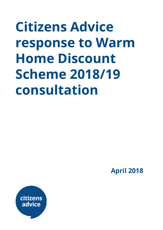**Citizens Advice response to Warm Home Discount Scheme 2018/19 consultation**

**April 2018**

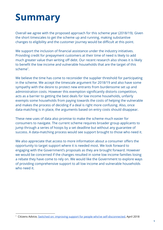# **Summary**

Overall we agree with the proposed approach for this scheme year (2018/19). Given the short timescales to get the scheme up and running, making substantive changes to eligibility and the customer journey would be difficult at this point.

We support the inclusion of financial assistance under the industry initiatives. Providing credit for prepayment customers at their time of need is likely to add much greater value than writing off debt. Our recent research also shows it is likely to benefit the low income and vulnerable households that are the target of this scheme<sup>1</sup>.

We believe the time has come to reconsider the supplier threshold for participating in the scheme. We accept the timescale argument for 2018/19 and also have some sympathy with the desire to protect new entrants from burdensome set up and administration costs. However this exemption significantly distorts competition, acts as a barrier to getting the best deals for low income households, unfairly exempts some households from paying towards the costs of helping the vulnerable and makes the process of deciding if a deal is right more confusing. Also, once data-matching is in place, the arguments based on entry costs should disappear.

These new uses of data also promise to make the scheme much easier for consumers to navigate. The current scheme requires broader group applicants to jump through a series of hoops by a set deadline but without any guarantee of success. A data-matching process would see support brought to those who need it.

We also appreciate that access to more information about a consumer offers the opportunity to target support where it is needed most. We look forward to engaging with the Government's proposals as they are brought forward. However we would be concerned if the changes resulted in some low income families losing a rebate they have come to rely on. We would like the Government to explore ways of providing comprehensive support to all low income and vulnerable households who need it.

<sup>1</sup> Citizens Advice, Switched on: improving support for people who've [self-disconnected](https://www.citizensadvice.org.uk/Global/CitizensAdvice/Energy/PPM%20self-disconnection%20short%20report.pdf), April 2018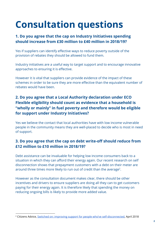# **Consultation questions**

#### **1. Do you agree that the cap on Industry Initiatives spending should increase from £30 million to £40 million in 2018/19?**

Yes if suppliers can identify effective ways to reduce poverty outside of the provision of rebates they should be allowed to fund them.

Industry initiatives are a useful way to target support and to encourage innovative approaches to ensuring it is effective.

However it is vital that suppliers can provide evidence of the impact of these schemes in order to be sure they are more effective than the equivalent number of rebates would have been.

# **2. Do you agree that a Local Authority declaration under ECO Flexible eligibility should count as evidence that a household is "wholly or mainly" in fuel poverty and therefore would be eligible for support under Industry Initiatives?**

Yes we believe the contact that local authorities have with low income vulnerable people in the community means they are well-placed to decide who is most in need of support.

#### **3. Do you agree that the cap on debt write-off should reduce from £12 million to £10 million in 2018/19?**

Debt assistance can be invaluable for helping low income consumers back to a situation in which they can afford their energy again. Our recent research on self disconnection shows that prepayment customers with a debt on their meter are around three times more likely to run out of credit than the average<sup>2</sup>.

However as the consultation document makes clear, there should be other incentives and drivers to ensure suppliers are doing all they can to get customers paying for their energy again. It is therefore likely that spending the money on reducing ongoing bills is likely to provide more added value.

<sup>2</sup> Citizens Advice, Switched on: improving support for people who've [self-disconnected,](https://www.citizensadvice.org.uk/Global/CitizensAdvice/Energy/PPM%20self-disconnection%20short%20report.pdf) April 2018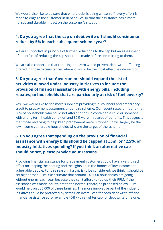We would also like to be sure that where debt is being written off, every effort is made to engage the customer in debt advice so that the assistance has a more holistic and durable impact on the customer's situation.

#### **4. Do you agree that the cap on debt write-off should continue to reduce by 5% in each subsequent scheme year?**

We are supportive in principle of further reductions to the cap but an assessment of the effect of reducing the cap should be made before committing to them.

We are also concerned that reducing it to zero would prevent debt write-off being offered in those circumstances where it would be the most effective intervention.

# **5. Do you agree that Government should expand the list of activities allowed under Industry Initiatives to include the provision of financial assistance with energy bills, including rebates, to households that are particularly at risk of fuel poverty?**

Yes - we would like to see more suppliers providing fuel vouchers and emergency credit to prepayment customers under this scheme. Our recent research found that 88% of households who could not afford to top up contained a child or someone with a long term health condition and 87% were in receipt of benefits. This suggests that those receiving to help keep prepayment meters topped up will largely be the low income vulnerable households who are the target of the scheme.

#### **6. Do you agree that spending on the provision of financial assistance with energy bills should be capped at £5m, or 12.5%, of industry initiatives spending? If you think an alternative cap should be set, please provide your reasons.**

Providing financial assistance for prepayment customers could have a very direct effect on keeping the heating and the lights on in the homes of low income and vulnerable people. For this reason, if a cap is to be considered, we think it should be set higher than £5m. We estimate that around 140,000 households are going without energy each year because they can't afford to top up their PPM. If the assistance was made equivalent to the normal rebate, as proposed below, £5m would help just 35,000 of these families. The more innovative part of the industry initiatives could be protected by setting an overall cap for both debt write-off and financial assistance at for example 40% with a tighter cap for debt write-off alone.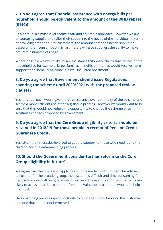## **7. Do you agree that financial assistance with energy bills per household should be equivalent to the amount of the WHD rebate (£140)?**

As a default, a similar level seems a fair and equitable approach. However we are encouraging suppliers to tailor their support to the needs of the individual. In terms of providing credit for PPM customers, the amount someone needs should be based on their consumption. Smart meters will give suppliers the ability to make accurate estimates of usage.

Where possible we would like to see assistance tailored to the circumstances of the household so for example, larger families in inefficient homes would receive more support than some living alone in a well insulated apartment.

# **8. Do you agree that Government should issue Regulations covering the scheme until 2020/2021 with the proposed review clauses?.**

Yes, this approach would give more reassurance over continuity of the scheme and seems a more efficient use of the legislative process. However we would want to be sure that this would not reduce the opportunity to change the scheme or to scrutinise changes proposed by government.

#### **9. Do you agree that the Core Group eligibility criteria should be retained in 2018/19 for those people in receipt of Pension Credit Guarantee Credit?**

Yes, given the timescales involved to get the support to those who need it and the current lack of a data-matching process.

#### **10. Should the Government consider further reform to the Core Group eligibility in future?**

We agree that the process of applying could be made much simpler. Our advisers tell us that for the broader group, the discount is difficult and time-consuming for people to access with no guarantee of success. These application requirements are likely to act as a barrier to support for some vulnerable customers who need help the most.

Data-matching provides an opportunity to build the support around the customer and one that should not be missed.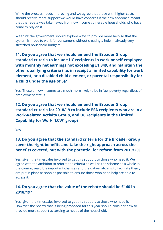While the process needs improving and we agree that those with higher costs should receive more support we would have concerns if the new approach meant that the rebate was taken away from low income vulnerable households who have come to rely on it.

We think the government should explore ways to provide more help so that the system is made to work for consumers without creating a hole in already very stretched household budgets.

**11. Do you agree that we should amend the Broader Group standard criteria to include UC recipients in work or self-employed with monthly net earnings not exceeding £1,349, and maintain the other qualifying criteria (i.e. in receipt a limited capability for work element, or a disabled child element, or parental responsibility for a child under the age of 5)?**

Yes. Those on low incomes are much more likely to be in fuel poverty regardless of employment status.

# **12. Do you agree that we should amend the Broader Group standard criteria for 2018/19 to include ESA recipients who are in a Work-Related Activity Group, and UC recipients in the Limited Capability for Work (LCW) group?**

Yes.

#### **13. Do you agree that the standard criteria for the Broader Group cover the right benefits and take the right approach across the benefits covered, but with the potential for reform from 2019/20?**

Yes, given the timescales involved to get this support to those who need it. We agree with the ambition to reform the criteria as well as the scheme as a whole in the coming year. It is important changes and the data-matching to facilitate them, are put in place as soon as possible to ensure those who need help are able to access it.

#### **14. Do you agree that the value of the rebate should be £140 in 2018/19?**

Yes, given the timescales involved to get this support to those who need it. However the review that is being proposed for this year should consider how to provide more support according to needs of the household.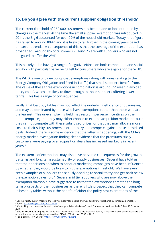#### **15. Do you agree with the current supplier obligation threshold?**

The current threshold of 250,000 customers has been made to look outdated by changes in the market. At the time the small supplier exemption was introduced in 2011, the Big 6 accounted for over 99% of the household market. Today, that figure has fallen to around 80%<sup>3</sup>, and it is likely to fall further in the coming years based on current trends. A consequence of this is that the coverage of the exemption has broadened. Around 8% of customers - ~1-in-12 - are with suppliers who are not obligated to offer the WHD.

This is likely to be having a range of negative effects on both competition and social equity - with particular harm being felt by consumers who are eligible for the WHD.

The WHD is one of three policy cost exemptions (along with ones relating to the Energy Company Obligation and Feed in Tariffs) that small suppliers benefit from. The value of these three exemptions in combination is around £51/year in avoided policy costs<sup>4</sup>, which are likely to flow through to those suppliers offering lower tariffs. This has a range of consequences.

Firstly, that best buy tables may not reflect the underlying efficiency of businesses, and may be dominated by those who have exemptions rather than those who are the leanest. This uneven playing field may result in perverse incentives on the non-exempt - eg that they may either choose to exit the acquisition market because they cannot compete with these subsidised prices, or that they may allocate more costs to their sticky customers in order to try and compete against these subsidised deals. Indeed, there is some evidence that the latter is happening, with the CMA's energy market investigation finding clear evidence that the premiums sticky customers were paying over acquisition deals has increased markedly in recent years.<sup>5</sup>

The existence of exemptions may also have perverse consequences for the growth patterns and long term sustainability of supply businesses. Several have told us that their decisions on when to conduct marketing campaigns have been influenced by whether they would be likely to hit the exemptions threshold. We have even seen examples of suppliers consciously deciding to shrink to try and get back below the exemption threshold.<sup>6</sup> Several mid tier suppliers who are now above the exemption threshold have suggested to us that the exemptions threaten the long term prospects of their businesses as there is little prospect that they can compete in best buy tables without the benefit of either the policy cost exemptions of the

<sup>&</sup>lt;sup>3</sup> See 'Electricity supply markets shares by company (domestic)' and 'Gas supply market shares by company (domestic),' Ofgem. <https://tinyurl.com/ycm2bsow>

<sup>4</sup> 'Controlling the consumer funded cost of energy policies: the Levy Control Framework,' National Audit Office, 18 October 2016.

<sup>&</sup>lt;sup>5</sup> See, eg, Figure 8.25 on page 412 of its final report, which shows the premium paid by standard variable tariff customers over acquisition deals expanding from less than £100 in 2009 to over £300 in 2016.

<sup>&</sup>lt;sup>6</sup> For example, Flow Energy. <https://tinyurl.com/y7pvncfz>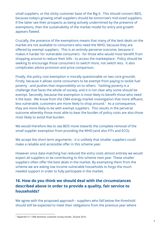small suppliers, or the sticky customer base of the Big 6. This should concern BEIS, because today's growing small suppliers should be tomorrow's mid-sized suppliers. If the latter see their prospects as being actively undermined by the presence of exemptions, then the sustainability of the market model for entry and growth appears flawed.

Crucially, the presence of the exemptions means that many of the best deals on the market are not available to consumers who need the WHD, because they are offered by exempt suppliers. This is an entirely perverse outcome, because it makes it harder for vulnerable consumers - for those who would most benefit from shopping around to reduce their bills - to access the marketplace. Policy should be seeking to encourage those consumers to switch more, not switch less. It also complicates advice provision and price comparison.

Finally, the policy cost exemption is morally questionable on two core grounds. Firstly, because it allows some consumers to be exempt from paying to tackle fuel poverty - and pushes that responsibility on to others. Tackling poverty is a challenge that faces the whole of society, and it is not clear why some should be exempt. Secondly, because the exemption is most likely to benefit those who need it the least. We know from the CMA energy market investigation that more affluent, less vulnerable, customers are more likely to shop around.<sup>7</sup> As a consequence, they are more likely to be with exempt suppliers. This results in the perverse outcome whereby those most able to bear the burden of policy costs are also those most likely to avoid that burden.

We would therefore like to see BEIS move towards the complete removal of the small supplier exemption from providing the WHD (and also FITs and ECO).

We accept the short term arguments - it is unlikely that smaller suppliers could make a reliable and accessible offer in this scheme year.

However once data-matching has reduced the entry costs almost entirely we would expect all suppliers to be contributing to this scheme next year. These smaller suppliers often offer the best deals in the market. By exempting them from the scheme we are asking low income vulnerable households to forgo the much needed support in order to fully participate in the market.

#### **16. How do you think we should deal with the circumstances described above in order to provide a quality, fair service to households?**

We agree with the proposed approach - suppliers who fall below the threshold should still be expected to meet their obligations from the previous year where

 $7$  'Appendix 9.1: CMA domestic customer survey results,' 24 June 2016.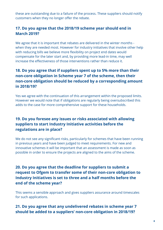these are outstanding due to a failure of the process. These suppliers should notify customers when they no longer offer the rebate.

#### **17. Do you agree that the 2018/19 scheme year should end in March 2019?**

We agree that it is important that rebates are delivered in the winter months when they are needed most. However for industry initiatives that involve other help with reducing bills we believe more flexibility on project end dates would compensate for the later start and, by providing more lead-in time, may well increase the effectiveness of those interventions rather than reduce it.

#### **18. Do you agree that if suppliers spent up to 5% more than their non-core obligation in Scheme year 7 of the scheme, then their non-core obligation should be reduced by a corresponding amount in 2018/19?**

Yes we agree with the continuation of this arrangement within the proposed limits. However we would note that if obligations are regularly being oversubscribed this adds to the case for more comprehensive support for these households.

#### **19. Do you foresee any issues or risks associated with allowing suppliers to start Industry Initiative activities before the regulations are in place?**

We do not see any significant risks, particularly for schemes that have been running in previous years and have been judged to meet requirements. For new and innovative schemes it will be important that an assessment is made as soon as possible in order to ensure the projects are aligned to the aims of the scheme.

#### **20. Do you agree that the deadline for suppliers to submit a request to Ofgem to transfer some of their non-core obligation to Industry Initiatives is set to three and a half months before the end of the scheme year?**

This seems a sensible approach and gives suppliers assurance around timescales for such applications.

#### **21. Do you agree that any undelivered rebates in scheme year 7 should be added to a suppliers' non-core obligation in 2018/19?**